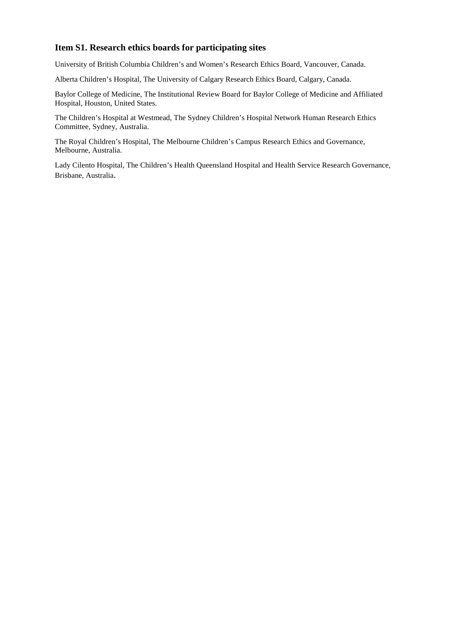### **Item S1. Research ethics boards for participating sites**

University of British Columbia Children's and Women's Research Ethics Board, Vancouver, Canada.

Alberta Children's Hospital, The University of Calgary Research Ethics Board, Calgary, Canada.

Baylor College of Medicine, The Institutional Review Board for Baylor College of Medicine and Affiliated Hospital, Houston, United States.

The Children's Hospital at Westmead, The Sydney Children's Hospital Network Human Research Ethics Committee, Sydney, Australia.

The Royal Children's Hospital, The Melbourne Children's Campus Research Ethics and Governance, Melbourne, Australia.

Lady Cilento Hospital, The Children's Health Queensland Hospital and Health Service Research Governance, Brisbane, Australia.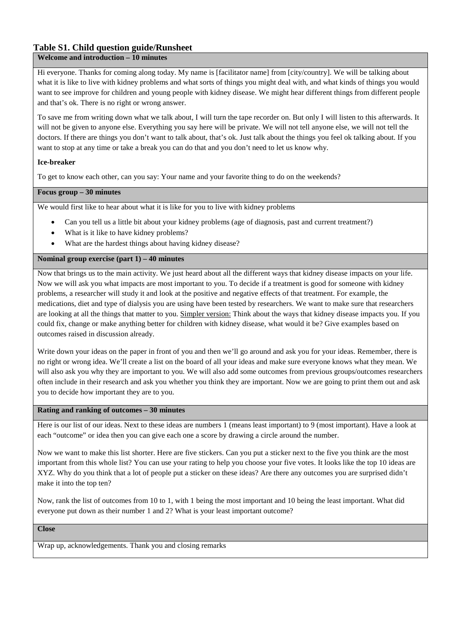## **Table S1. Child question guide/Runsheet**

#### **Welcome and introduction – 10 minutes**

Hi everyone. Thanks for coming along today. My name is [facilitator name] from [city/country]. We will be talking about what it is like to live with kidney problems and what sorts of things you might deal with, and what kinds of things you would want to see improve for children and young people with kidney disease. We might hear different things from different people and that's ok. There is no right or wrong answer.

To save me from writing down what we talk about, I will turn the tape recorder on. But only I will listen to this afterwards. It will not be given to anyone else. Everything you say here will be private. We will not tell anyone else, we will not tell the doctors. If there are things you don't want to talk about, that's ok. Just talk about the things you feel ok talking about. If you want to stop at any time or take a break you can do that and you don't need to let us know why.

#### **Ice-breaker**

To get to know each other, can you say: Your name and your favorite thing to do on the weekends?

#### **Focus group – 30 minutes**

We would first like to hear about what it is like for you to live with kidney problems

- Can you tell us a little bit about your kidney problems (age of diagnosis, past and current treatment?)
- What is it like to have kidney problems?
- What are the hardest things about having kidney disease?

#### **Nominal group exercise (part 1) – 40 minutes**

Now that brings us to the main activity. We just heard about all the different ways that kidney disease impacts on your life. Now we will ask you what impacts are most important to you. To decide if a treatment is good for someone with kidney problems, a researcher will study it and look at the positive and negative effects of that treatment. For example, the medications, diet and type of dialysis you are using have been tested by researchers. We want to make sure that researchers are looking at all the things that matter to you. Simpler version: Think about the ways that kidney disease impacts you. If you could fix, change or make anything better for children with kidney disease, what would it be? Give examples based on outcomes raised in discussion already.

Write down your ideas on the paper in front of you and then we'll go around and ask you for your ideas. Remember, there is no right or wrong idea. We'll create a list on the board of all your ideas and make sure everyone knows what they mean. We will also ask you why they are important to you. We will also add some outcomes from previous groups/outcomes researchers often include in their research and ask you whether you think they are important. Now we are going to print them out and ask you to decide how important they are to you.

#### **Rating and ranking of outcomes – 30 minutes**

Here is our list of our ideas. Next to these ideas are numbers 1 (means least important) to 9 (most important). Have a look at each "outcome" or idea then you can give each one a score by drawing a circle around the number.

Now we want to make this list shorter. Here are five stickers. Can you put a sticker next to the five you think are the most important from this whole list? You can use your rating to help you choose your five votes. It looks like the top 10 ideas are XYZ. Why do you think that a lot of people put a sticker on these ideas? Are there any outcomes you are surprised didn't make it into the top ten?

Now, rank the list of outcomes from 10 to 1, with 1 being the most important and 10 being the least important. What did everyone put down as their number 1 and 2? What is your least important outcome?

**Close** 

Wrap up, acknowledgements. Thank you and closing remarks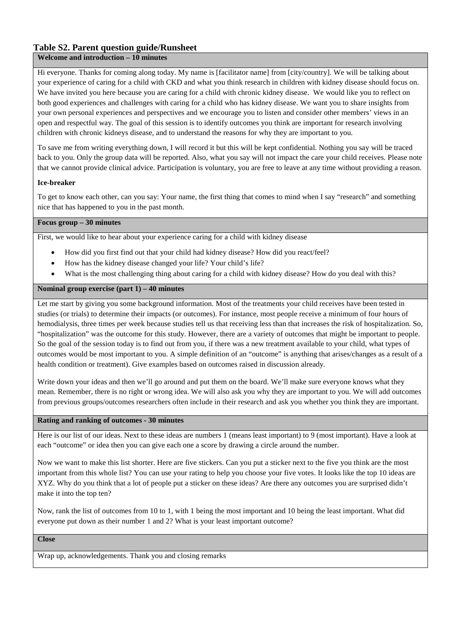## **Table S2. Parent question guide/Runsheet**

#### **Welcome and introduction – 10 minutes**

Hi everyone. Thanks for coming along today. My name is [facilitator name] from [city/country]. We will be talking about your experience of caring for a child with CKD and what you think research in children with kidney disease should focus on. We have invited you here because you are caring for a child with chronic kidney disease. We would like you to reflect on both good experiences and challenges with caring for a child who has kidney disease. We want you to share insights from your own personal experiences and perspectives and we encourage you to listen and consider other members' views in an open and respectful way. The goal of this session is to identify outcomes you think are important for research involving children with chronic kidneys disease, and to understand the reasons for why they are important to you.

To save me from writing everything down, I will record it but this will be kept confidential. Nothing you say will be traced back to you. Only the group data will be reported. Also, what you say will not impact the care your child receives. Please note that we cannot provide clinical advice. Participation is voluntary, you are free to leave at any time without providing a reason.

#### **Ice-breaker**

To get to know each other, can you say: Your name, the first thing that comes to mind when I say "research" and something nice that has happened to you in the past month.

#### **Focus group – 30 minutes**

First, we would like to hear about your experience caring for a child with kidney disease

- How did you first find out that your child had kidney disease? How did you react/feel?
- How has the kidney disease changed your life? Your child's life?
- What is the most challenging thing about caring for a child with kidney disease? How do you deal with this?

#### **Nominal group exercise (part 1) – 40 minutes**

Let me start by giving you some background information. Most of the treatments your child receives have been tested in studies (or trials) to determine their impacts (or outcomes). For instance, most people receive a minimum of four hours of hemodialysis, three times per week because studies tell us that receiving less than that increases the risk of hospitalization. So, "hospitalization" was the outcome for this study. However, there are a variety of outcomes that might be important to people. So the goal of the session today is to find out from you, if there was a new treatment available to your child, what types of outcomes would be most important to you. A simple definition of an "outcome" is anything that arises/changes as a result of a health condition or treatment). Give examples based on outcomes raised in discussion already.

Write down your ideas and then we'll go around and put them on the board. We'll make sure everyone knows what they mean. Remember, there is no right or wrong idea. We will also ask you why they are important to you. We will add outcomes from previous groups/outcomes researchers often include in their research and ask you whether you think they are important.

#### **Rating and ranking of outcomes - 30 minutes**

Here is our list of our ideas. Next to these ideas are numbers 1 (means least important) to 9 (most important). Have a look at each "outcome" or idea then you can give each one a score by drawing a circle around the number.

Now we want to make this list shorter. Here are five stickers. Can you put a sticker next to the five you think are the most important from this whole list? You can use your rating to help you choose your five votes. It looks like the top 10 ideas are XYZ. Why do you think that a lot of people put a sticker on these ideas? Are there any outcomes you are surprised didn't make it into the top ten?

Now, rank the list of outcomes from 10 to 1, with 1 being the most important and 10 being the least important. What did everyone put down as their number 1 and 2? What is your least important outcome?

**Close** 

Wrap up, acknowledgements. Thank you and closing remarks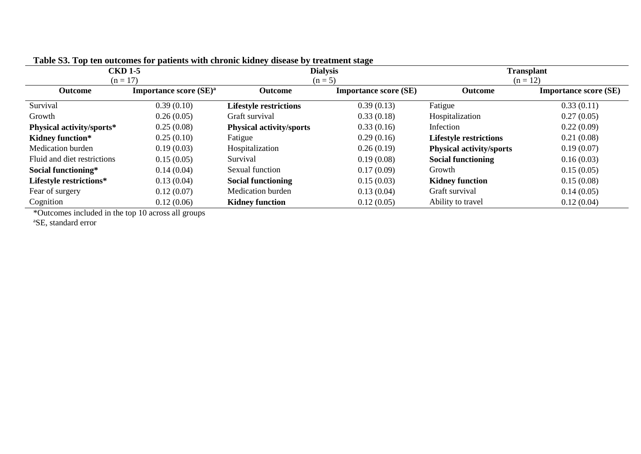| <b>CKD 1-5</b>              |                                    |                                 | $\overline{\phantom{a}}$<br><b>Dialysis</b> | <b>Transplant</b>               |                              |  |
|-----------------------------|------------------------------------|---------------------------------|---------------------------------------------|---------------------------------|------------------------------|--|
| $(n = 17)$                  |                                    | $(n = 5)$                       |                                             | $(n = 12)$                      |                              |  |
| <b>Outcome</b>              | Importance score (SE) <sup>a</sup> | <b>Outcome</b>                  | <b>Importance score (SE)</b>                | Outcome                         | <b>Importance score (SE)</b> |  |
| Survival                    | 0.39(0.10)                         | <b>Lifestyle restrictions</b>   | 0.39(0.13)                                  | Fatigue                         | 0.33(0.11)                   |  |
| Growth                      | 0.26(0.05)                         | Graft survival                  | 0.33(0.18)                                  | Hospitalization                 | 0.27(0.05)                   |  |
| Physical activity/sports*   | 0.25(0.08)                         | <b>Physical activity/sports</b> | 0.33(0.16)                                  | Infection                       | 0.22(0.09)                   |  |
| <b>Kidney function*</b>     | 0.25(0.10)                         | Fatigue                         | 0.29(0.16)                                  | <b>Lifestyle restrictions</b>   | 0.21(0.08)                   |  |
| Medication burden           | 0.19(0.03)                         | Hospitalization                 | 0.26(0.19)                                  | <b>Physical activity/sports</b> | 0.19(0.07)                   |  |
| Fluid and diet restrictions | 0.15(0.05)                         | Survival                        | 0.19(0.08)                                  | <b>Social functioning</b>       | 0.16(0.03)                   |  |
| Social functioning*         | 0.14(0.04)                         | Sexual function                 | 0.17(0.09)                                  | Growth                          | 0.15(0.05)                   |  |
| Lifestyle restrictions*     | 0.13(0.04)                         | <b>Social functioning</b>       | 0.15(0.03)                                  | <b>Kidney function</b>          | 0.15(0.08)                   |  |
| Fear of surgery             | 0.12(0.07)                         | Medication burden               | 0.13(0.04)                                  | Graft survival                  | 0.14(0.05)                   |  |
| Cognition                   | 0.12(0.06)                         | <b>Kidney function</b>          | 0.12(0.05)                                  | Ability to travel               | 0.12(0.04)                   |  |

**Table S3. Top ten outcomes for patients with chronic kidney disease by treatment stage** 

\*Outcomes included in the top 10 across all groups

aSE, standard error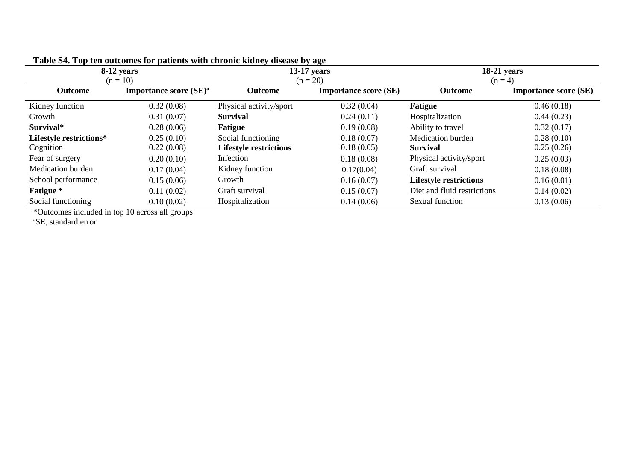| 8-12 years<br>$(n = 10)$ |                                    |                               | ്ക് കാ<br>$13-17$ years<br>$(n = 20)$ | $18-21$ years<br>$(n=4)$      |                              |
|--------------------------|------------------------------------|-------------------------------|---------------------------------------|-------------------------------|------------------------------|
| <b>Outcome</b>           | Importance score (SE) <sup>a</sup> | <b>Outcome</b>                | <b>Importance score (SE)</b>          | Outcome                       | <b>Importance score (SE)</b> |
| Kidney function          | 0.32(0.08)                         | Physical activity/sport       | 0.32(0.04)                            | <b>Fatigue</b>                | 0.46(0.18)                   |
| Growth                   | 0.31(0.07)                         | <b>Survival</b>               | 0.24(0.11)                            | Hospitalization               | 0.44(0.23)                   |
| Survival*                | 0.28(0.06)                         | <b>Fatigue</b>                | 0.19(0.08)                            | Ability to travel             | 0.32(0.17)                   |
| Lifestyle restrictions*  | 0.25(0.10)                         | Social functioning            | 0.18(0.07)                            | <b>Medication</b> burden      | 0.28(0.10)                   |
| Cognition                | 0.22(0.08)                         | <b>Lifestyle restrictions</b> | 0.18(0.05)                            | <b>Survival</b>               | 0.25(0.26)                   |
| Fear of surgery          | 0.20(0.10)                         | Infection                     | 0.18(0.08)                            | Physical activity/sport       | 0.25(0.03)                   |
| <b>Medication burden</b> | 0.17(0.04)                         | Kidney function               | 0.17(0.04)                            | Graft survival                | 0.18(0.08)                   |
| School performance       | 0.15(0.06)                         | Growth                        | 0.16(0.07)                            | <b>Lifestyle restrictions</b> | 0.16(0.01)                   |
| <b>Fatigue</b> *         | 0.11(0.02)                         | Graft survival                | 0.15(0.07)                            | Diet and fluid restrictions   | 0.14(0.02)                   |
| Social functioning       | 0.10(0.02)                         | Hospitalization               | 0.14(0.06)                            | Sexual function               | 0.13(0.06)                   |

| Table S4. Top ten outcomes for patients with chronic kidney disease by age |  |  |  |
|----------------------------------------------------------------------------|--|--|--|
|                                                                            |  |  |  |

\*Outcomes included in top 10 across all groups

aSE, standard error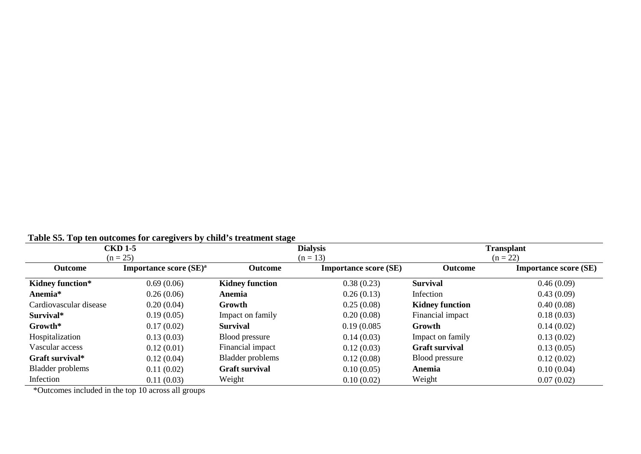| Table 55. Tup tell buttonies full callegivers by Clinu S if earlier stage |                                    |                         |                              |                        |                              |  |  |
|---------------------------------------------------------------------------|------------------------------------|-------------------------|------------------------------|------------------------|------------------------------|--|--|
| <b>CKD 1-5</b>                                                            |                                    |                         | <b>Dialysis</b>              | <b>Transplant</b>      |                              |  |  |
|                                                                           | $(n = 25)$                         |                         | $(n = 13)$                   |                        | $(n = 22)$                   |  |  |
| <b>Outcome</b>                                                            | Importance score (SE) <sup>a</sup> | <b>Outcome</b>          | <b>Importance score (SE)</b> | <b>Outcome</b>         | <b>Importance score (SE)</b> |  |  |
| <b>Kidney function*</b>                                                   | 0.69(0.06)                         | <b>Kidney function</b>  | 0.38(0.23)                   | <b>Survival</b>        | 0.46(0.09)                   |  |  |
| Anemia*                                                                   | 0.26(0.06)                         | Anemia                  | 0.26(0.13)                   | Infection              | 0.43(0.09)                   |  |  |
| Cardiovascular disease                                                    | 0.20(0.04)                         | Growth                  | 0.25(0.08)                   | <b>Kidney function</b> | 0.40(0.08)                   |  |  |
| Survival*                                                                 | 0.19(0.05)                         | Impact on family        | 0.20(0.08)                   | Financial impact       | 0.18(0.03)                   |  |  |
| Growth*                                                                   | 0.17(0.02)                         | <b>Survival</b>         | 0.19(0.085)                  | <b>Growth</b>          | 0.14(0.02)                   |  |  |
| Hospitalization                                                           | 0.13(0.03)                         | Blood pressure          | 0.14(0.03)                   | Impact on family       | 0.13(0.02)                   |  |  |
| Vascular access                                                           | 0.12(0.01)                         | Financial impact        | 0.12(0.03)                   | <b>Graft survival</b>  | 0.13(0.05)                   |  |  |
| Graft survival*                                                           | 0.12(0.04)                         | <b>Bladder</b> problems | 0.12(0.08)                   | Blood pressure         | 0.12(0.02)                   |  |  |
| <b>Bladder problems</b>                                                   | 0.11(0.02)                         | <b>Graft survival</b>   | 0.10(0.05)                   | Anemia                 | 0.10(0.04)                   |  |  |
| Infection                                                                 | 0.11(0.03)                         | Weight                  | 0.10(0.02)                   | Weight                 | 0.07(0.02)                   |  |  |

## **Table S5. Top ten outcomes for caregivers by child's treatment stage**

\*Outcomes included in the top 10 across all groups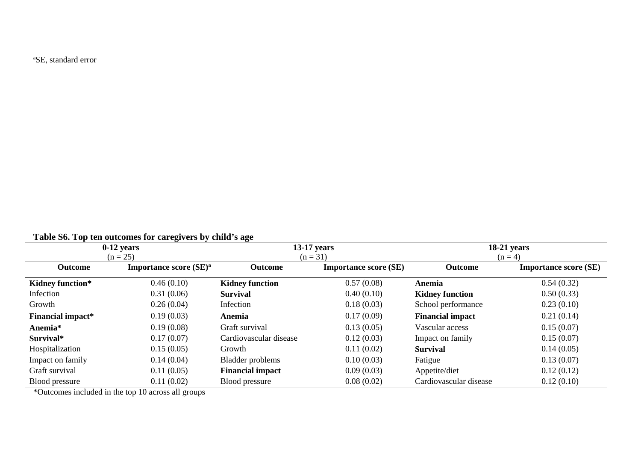<sup>a</sup>SE, standard error

| $0-12$ years             |                                    |                         | $13-17$ years                | $18-21$ years           |                              |  |
|--------------------------|------------------------------------|-------------------------|------------------------------|-------------------------|------------------------------|--|
| $(n = 25)$               |                                    |                         | $(n = 31)$                   |                         | $(n = 4)$                    |  |
| <b>Outcome</b>           | Importance score (SE) <sup>a</sup> | Outcome                 | <b>Importance score (SE)</b> | Outcome                 | <b>Importance score (SE)</b> |  |
| <b>Kidney function*</b>  | 0.46(0.10)                         | <b>Kidney function</b>  | 0.57(0.08)                   | Anemia                  | 0.54(0.32)                   |  |
| Infection                | 0.31(0.06)                         | <b>Survival</b>         | 0.40(0.10)                   | <b>Kidney function</b>  | 0.50(0.33)                   |  |
| Growth                   | 0.26(0.04)                         | Infection               | 0.18(0.03)                   | School performance      | 0.23(0.10)                   |  |
| <b>Financial impact*</b> | 0.19(0.03)                         | Anemia                  | 0.17(0.09)                   | <b>Financial impact</b> | 0.21(0.14)                   |  |
| Anemia*                  | 0.19(0.08)                         | Graft survival          | 0.13(0.05)                   | Vascular access         | 0.15(0.07)                   |  |
| Survival*                | 0.17(0.07)                         | Cardiovascular disease  | 0.12(0.03)                   | Impact on family        | 0.15(0.07)                   |  |
| Hospitalization          | 0.15(0.05)                         | Growth                  | 0.11(0.02)                   | <b>Survival</b>         | 0.14(0.05)                   |  |
| Impact on family         | 0.14(0.04)                         | Bladder problems        | 0.10(0.03)                   | Fatigue                 | 0.13(0.07)                   |  |
| Graft survival           | 0.11(0.05)                         | <b>Financial impact</b> | 0.09(0.03)                   | Appetite/diet           | 0.12(0.12)                   |  |
| <b>Blood pressure</b>    | 0.11(0.02)                         | Blood pressure          | 0.08(0.02)                   | Cardiovascular disease  | 0.12(0.10)                   |  |

**Table S6. Top ten outcomes for caregivers by child's age** 

\*Outcomes included in the top 10 across all groups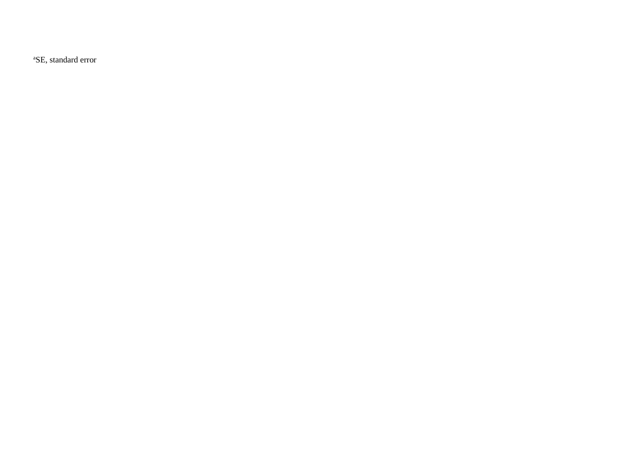<sup>a</sup>SE, standard error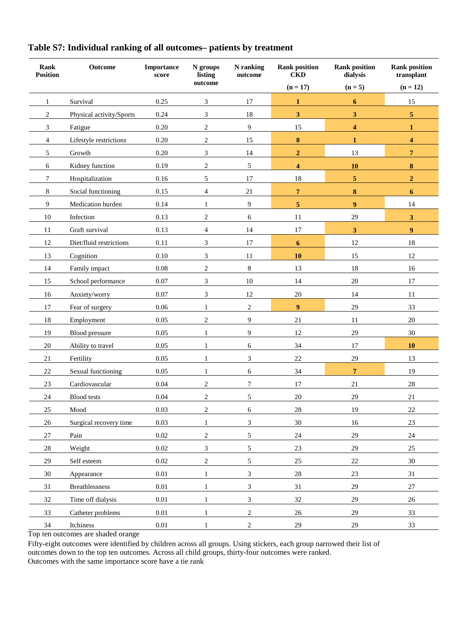| Rank<br><b>Position</b> | Outcome                  | Importance<br>score | N groups<br>listing | N ranking<br>outcome | <b>Rank position</b><br><b>CKD</b> | <b>Rank position</b><br>dialysis | <b>Rank position</b><br>transplant |
|-------------------------|--------------------------|---------------------|---------------------|----------------------|------------------------------------|----------------------------------|------------------------------------|
|                         |                          |                     | outcome             |                      | $(n = 17)$                         | $(n=5)$                          | $(n = 12)$                         |
| 1                       | Survival                 | 0.25                | 3                   | 17                   | $\mathbf{1}$                       | 6                                | 15                                 |
| $\overline{c}$          | Physical activity/Sports | 0.24                | 3                   | 18                   | $\overline{\mathbf{3}}$            | 3                                | $\sqrt{5}$                         |
| 3                       | Fatigue                  | 0.20                | $\overline{c}$      | 9                    | 15                                 | 4                                | 1                                  |
| 4                       | Lifestyle restrictions   | 0.20                | $\boldsymbol{2}$    | 15                   | $\pmb{8}$                          | $\mathbf{1}$                     | 4                                  |
| 5                       | Growth                   | 0.20                | $\mathfrak{Z}$      | 14                   | $\overline{2}$                     | 13                               | $\overline{7}$                     |
| 6                       | Kidney function          | 0.19                | $\boldsymbol{2}$    | $\mathfrak s$        | 4                                  | 10                               | ${\bf 8}$                          |
| 7                       | Hospitalization          | 0.16                | 5                   | 17                   | 18                                 | 5                                | $\boldsymbol{2}$                   |
| $8\,$                   | Social functioning       | 0.15                | $\overline{4}$      | 21                   | $\overline{7}$                     | $\bf{8}$                         | 6                                  |
| 9                       | Medication burden        | 0.14                | $\mathbf{1}$        | 9                    | $\overline{5}$                     | $\boldsymbol{9}$                 | 14                                 |
| 10                      | Infection                | 0.13                | $\mathbf{2}$        | 6                    | 11                                 | 29                               | $\mathbf{3}$                       |
| 11                      | Graft survival           | 0.13                | 4                   | 14                   | 17                                 | $\mathbf{3}$                     | 9                                  |
| 12                      | Diet/fluid restrictions  | 0.11                | 3                   | 17                   | $\boldsymbol{6}$                   | 12                               | 18                                 |
| 13                      | Cognition                | 0.10                | 3                   | 11                   | 10                                 | 15                               | 12                                 |
| 14                      | Family impact            | $0.08\,$            | $\boldsymbol{2}$    | $\,8\,$              | 13                                 | 18                               | 16                                 |
| 15                      | School performance       | 0.07                | 3                   | $10\,$               | 14                                 | $20\,$                           | 17                                 |
| 16                      | Anxiety/worry            | 0.07                | 3                   | 12                   | $20\,$                             | 14                               | 11                                 |
| 17                      | Fear of surgery          | $0.06\,$            | $\mathbf{1}$        | $\sqrt{2}$           | 9                                  | 29                               | 33                                 |
| 18                      | Employment               | 0.05                | $\mathbf{2}$        | 9                    | 21                                 | 11                               | 20                                 |
| 19                      | Blood pressure           | 0.05                | $\mathbf{1}$        | 9                    | 12                                 | 29                               | 30                                 |
| 20                      | Ability to travel        | 0.05                | 1                   | 6                    | 34                                 | 17                               | 10                                 |
| 21                      | Fertility                | 0.05                | $\mathbf{1}$        | $\mathfrak{Z}$       | $22\,$                             | 29                               | 13                                 |
| $22\,$                  | Sexual functioning       | 0.05                | $\mathbf{1}$        | 6                    | 34                                 | $\overline{7}$                   | 19                                 |
| 23                      | Cardiovascular           | 0.04                | $\mathbf{2}$        | $\boldsymbol{7}$     | 17                                 | 21                               | $28\,$                             |
| 24                      | <b>Blood</b> tests       | 0.04                | 2                   | $\sqrt{5}$           | 20                                 | 29                               | 21                                 |
| 25                      | Mood                     | 0.03                | $\boldsymbol{2}$    | $\sqrt{6}$           | $28\,$                             | 19                               | $22\,$                             |
| 26                      | Surgical recovery time   | 0.03                | $\mathbf{1}$        | $\mathfrak{Z}$       | 30                                 | 16                               | 23                                 |
| 27                      | Pain                     | $0.02\,$            | $\,2$               | $\mathfrak s$        | 24                                 | $29\,$                           | $24\,$                             |
| $28\,$                  | Weight                   | $0.02\,$            | $\mathfrak{Z}$      | $\mathfrak s$        | 23                                 | $29\,$                           | $25\,$                             |
| 29                      | Self esteem              | $0.02\,$            | $\overline{c}$      | $\mathfrak{S}$       | 25                                 | $22\,$                           | $30\,$                             |
| 30                      | Appearance               | $0.01\,$            | $\mathbf{1}$        | $\mathfrak{Z}$       | 28                                 | $23\,$                           | 31                                 |
| 31                      | <b>Breathlessness</b>    | $0.01\,$            | $\mathbf{1}$        | $\mathfrak{Z}$       | 31                                 | 29                               | $27\,$                             |
| 32                      | Time off dialysis        | $0.01\,$            | $\mathbf{1}$        | $\mathfrak{Z}$       | 32                                 | 29                               | 26                                 |
| 33                      | Catheter problems        | $0.01\,$            | $\mathbf{1}$        | $\sqrt{2}$           | $26\,$                             | $29\,$                           | 33                                 |
| 34                      | Itchiness                | $0.01\,$            | $\mathbf{1}$        | $\sqrt{2}$           | $29\,$                             | 29                               | 33                                 |

# **Table S7: Individual ranking of all outcomes– patients by treatment**

Top ten outcomes are shaded orange

Fifty-eight outcomes were identified by children across all groups. Using stickers, each group narrowed their list of outcomes down to the top ten outcomes. Across all child groups, thirty-four outcomes were ranked. Outcomes with the same importance score have a tie rank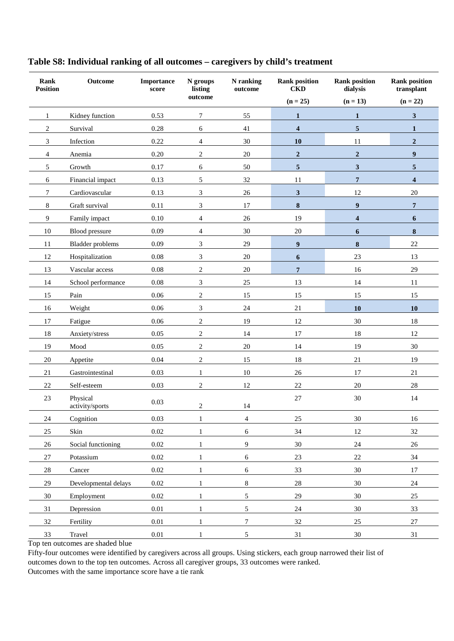| Rank<br><b>Position</b> | Outcome                     | Importance<br>score | N groups<br>listing | N ranking<br>outcome | <b>Rank position</b><br><b>CKD</b> | <b>Rank position</b><br>dialysis | <b>Rank position</b><br>transplant |
|-------------------------|-----------------------------|---------------------|---------------------|----------------------|------------------------------------|----------------------------------|------------------------------------|
|                         |                             |                     | outcome             |                      | $(n = 25)$                         | $(n = 13)$                       | $(n = 22)$                         |
| 1                       | Kidney function             | 0.53                | 7                   | 55                   | $\mathbf{1}$                       | $\mathbf{1}$                     | 3                                  |
| $\overline{c}$          | Survival                    | 0.28                | 6                   | 41                   | $\overline{\mathbf{4}}$            | 5                                | $\mathbf{1}$                       |
| 3                       | Infection                   | 0.22                | $\overline{4}$      | 30                   | 10                                 | 11                               | $\overline{2}$                     |
| 4                       | Anemia                      | 0.20                | $\sqrt{2}$          | 20                   | $\mathbf 2$                        | $\mathbf 2$                      | $\boldsymbol{9}$                   |
| 5                       | Growth                      | 0.17                | 6                   | 50                   | $\overline{5}$                     | $\mathbf{3}$                     | 5                                  |
| 6                       | Financial impact            | 0.13                | 5                   | 32                   | 11                                 | $\overline{7}$                   | 4                                  |
| 7                       | Cardiovascular              | 0.13                | 3                   | $26\,$               | $\mathbf{3}$                       | 12                               | $20\,$                             |
| $8\,$                   | Graft survival              | 0.11                | 3                   | 17                   | $\bf{8}$                           | $\boldsymbol{9}$                 | 7                                  |
| 9                       | Family impact               | 0.10                | $\overline{4}$      | 26                   | 19                                 | $\overline{\mathbf{4}}$          | 6                                  |
| 10                      | Blood pressure              | 0.09                | 4                   | 30                   | $20\,$                             | 6                                | 8                                  |
| 11                      | <b>Bladder</b> problems     | 0.09                | 3                   | 29                   | 9                                  | $\bf{8}$                         | 22                                 |
| 12                      | Hospitalization             | 0.08                | 3                   | $20\,$               | 6                                  | 23                               | 13                                 |
| 13                      | Vascular access             | 0.08                | $\overline{c}$      | $20\,$               | $\overline{7}$                     | 16                               | 29                                 |
| 14                      | School performance          | 0.08                | 3                   | 25                   | 13                                 | 14                               | 11                                 |
| 15                      | Pain                        | 0.06                | $\sqrt{2}$          | 15                   | 15                                 | 15                               | 15                                 |
| 16                      | Weight                      | 0.06                | 3                   | 24                   | 21                                 | 10                               | <b>10</b>                          |
| $17\,$                  | Fatigue                     | 0.06                | $\sqrt{2}$          | 19                   | 12                                 | $30\,$                           | 18                                 |
| 18                      | Anxiety/stress              | 0.05                | $\sqrt{2}$          | 14                   | 17                                 | 18                               | 12                                 |
| 19                      | Mood                        | 0.05                | $\overline{2}$      | $20\,$               | 14                                 | 19                               | 30                                 |
| 20                      | Appetite                    | 0.04                | $\sqrt{2}$          | 15                   | 18                                 | $21\,$                           | 19                                 |
| 21                      | Gastrointestinal            | 0.03                | $\mathbf{1}$        | $10\,$               | 26                                 | 17                               | 21                                 |
| $22\,$                  | Self-esteem                 | 0.03                | $\overline{c}$      | 12                   | 22                                 | $20\,$                           | $28\,$                             |
| 23                      | Physical<br>activity/sports | 0.03                | $\overline{2}$      | 14                   | $27\,$                             | 30                               | 14                                 |
| $24\,$                  | Cognition                   | 0.03                | $\mathbf{1}$        | $\overline{4}$       | $25\,$                             | $30\,$                           | 16                                 |
| 25                      | Skin                        | 0.02                | $\mathbf{1}$        | 6                    | 34                                 | $12\,$                           | 32                                 |
| 26                      | Social functioning          | $0.02\,$            | $\mathbf{1}$        | 9                    | 30                                 | $24\,$                           | $26\,$                             |
| $27\,$                  | Potassium                   | $0.02\,$            | $\mathbf{1}$        | $\epsilon$           | 23                                 | $22\,$                           | 34                                 |
| $28\,$                  | Cancer                      | $0.02\,$            | $\mathbf{1}$        | 6                    | 33                                 | $30\,$                           | $17\,$                             |
| 29                      | Developmental delays        | $0.02\,$            | $\mathbf{1}$        | $8\,$                | $28\,$                             | $30\,$                           | $24\,$                             |
| 30                      | Employment                  | $0.02\,$            | $\mathbf{1}$        | 5                    | 29                                 | $30\,$                           | $25\,$                             |
| 31                      | Depression                  | $0.01\,$            | $\mathbf{1}$        | 5                    | 24                                 | $30\,$                           | 33                                 |
| 32                      | Fertility                   | $0.01\,$            | $\mathbf{1}$        | $\boldsymbol{7}$     | 32                                 | $25\,$                           | $27\,$                             |
| 33                      | Travel                      | $0.01\,$            | $\mathbf{1}$        | $\mathfrak{S}$       | 31                                 | $30\,$                           | $31\,$                             |

# **Table S8: Individual ranking of all outcomes – caregivers by child's treatment**

Top ten outcomes are shaded blue

Fifty-four outcomes were identified by caregivers across all groups. Using stickers, each group narrowed their list of outcomes down to the top ten outcomes. Across all caregiver groups, 33 outcomes were ranked. Outcomes with the same importance score have a tie rank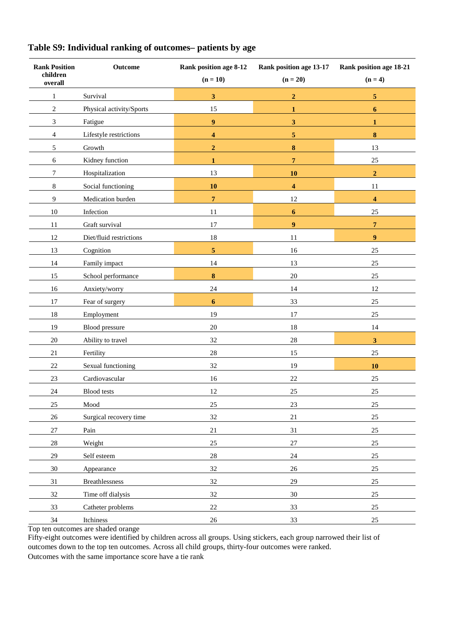| <b>Rank Position</b><br>children<br>overall | Outcome                  | Rank position age 8-12<br>$(n = 10)$ | Rank position age 13-17<br>$(n = 20)$ | Rank position age 18-21<br>$(n=4)$ |
|---------------------------------------------|--------------------------|--------------------------------------|---------------------------------------|------------------------------------|
| $\mathbf{1}$                                | Survival                 | 3                                    | $\mathbf{2}$                          | 5                                  |
| $\mathfrak{2}$                              | Physical activity/Sports | 15                                   | $\mathbf{1}$                          | 6                                  |
| 3                                           | Fatigue                  | $\overline{9}$                       | $\mathbf{3}$                          | 1                                  |
| $\overline{4}$                              | Lifestyle restrictions   | 4                                    | $\overline{\mathbf{5}}$               | 8                                  |
| 5                                           | Growth                   | $\overline{2}$                       | $\pmb{8}$                             | 13                                 |
| 6                                           | Kidney function          | $\mathbf{1}$                         | $\overline{7}$                        | 25                                 |
| $\tau$                                      | Hospitalization          | 13                                   | 10                                    | $\overline{2}$                     |
| 8                                           | Social functioning       | 10                                   | $\overline{\mathbf{4}}$               | 11                                 |
| 9                                           | Medication burden        | $\overline{7}$                       | 12                                    | $\overline{\mathbf{4}}$            |
| 10                                          | Infection                | $11\,$                               | $\boldsymbol{6}$                      | 25                                 |
| 11                                          | Graft survival           | 17                                   | $\overline{9}$                        | $\overline{7}$                     |
| 12                                          | Diet/fluid restrictions  | 18                                   | 11                                    | $\boldsymbol{9}$                   |
| 13                                          | Cognition                | $\overline{\mathbf{5}}$              | 16                                    | 25                                 |
| 14                                          | Family impact            | 14                                   | 13                                    | $25\,$                             |
| 15                                          | School performance       | 8                                    | 20                                    | 25                                 |
| 16                                          | Anxiety/worry            | 24                                   | 14                                    | 12                                 |
| 17                                          | Fear of surgery          | $6\phantom{1}$                       | 33                                    | 25                                 |
| $18\,$                                      | Employment               | 19                                   | 17                                    | $25\,$                             |
| 19                                          | Blood pressure           | 20                                   | 18                                    | 14                                 |
| $20\,$                                      | Ability to travel        | 32                                   | $28\,$                                | $\overline{\mathbf{3}}$            |
| 21                                          | Fertility                | $28\,$                               | 15                                    | 25                                 |
| 22                                          | Sexual functioning       | 32                                   | 19                                    | 10                                 |
| 23                                          | Cardiovascular           | 16                                   | $22\,$                                | $25\,$                             |
| 24                                          | <b>Blood</b> tests       | 12                                   | 25                                    | 25                                 |
| 25                                          | Mood                     | 25                                   | 23                                    | 25                                 |
| $26\,$                                      | Surgical recovery time   | 32                                   | $21\,$                                | $25\,$                             |
| $27\,$                                      | Pain                     | $21\,$                               | 31                                    | $25\,$                             |
| $28\,$                                      | Weight                   | 25                                   | $27\,$                                | 25                                 |
| 29                                          | Self esteem              | $28\,$                               | 24                                    | 25                                 |
| 30                                          | Appearance               | 32                                   | 26                                    | $25\,$                             |
| $31\,$                                      | Breathlessness           | $32\,$                               | $29\,$                                | $25\,$                             |
| 32                                          | Time off dialysis        | 32                                   | 30                                    | 25                                 |
| 33                                          | Catheter problems        | $22\,$                               | 33                                    | 25                                 |
| 34                                          | Itchiness                | $26\,$                               | 33                                    | 25                                 |
|                                             |                          |                                      |                                       |                                    |

# **Table S9: Individual ranking of outcomes– patients by age**

Top ten outcomes are shaded orange

Fifty-eight outcomes were identified by children across all groups. Using stickers, each group narrowed their list of outcomes down to the top ten outcomes. Across all child groups, thirty-four outcomes were ranked. Outcomes with the same importance score have a tie rank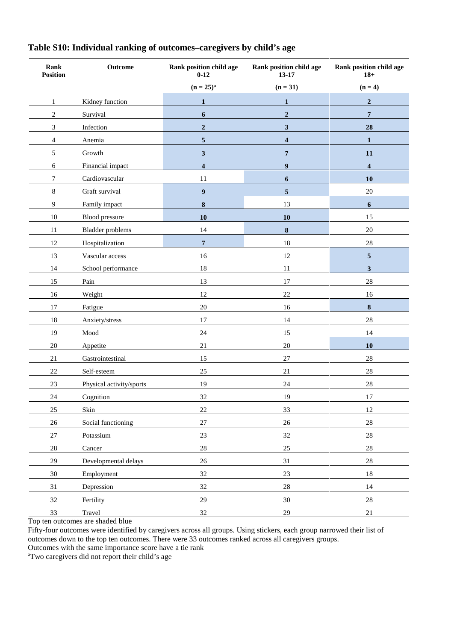| Rank<br><b>Position</b> | Outcome                  | Rank position child age<br>$0 - 12$ | Rank position child age<br>13-17 | Rank position child age<br>$18+$ |
|-------------------------|--------------------------|-------------------------------------|----------------------------------|----------------------------------|
|                         |                          | $(n = 25)^{a}$                      | $(n = 31)$                       | $(n=4)$                          |
| $\mathbf{1}$            | Kidney function          | $\mathbf{1}$                        | $\mathbf{1}$                     | $\mathbf 2$                      |
| $\overline{2}$          | Survival                 | $\boldsymbol{6}$                    | $\overline{2}$                   | $\overline{7}$                   |
| 3                       | Infection                | $\boldsymbol{2}$                    | $\mathbf{3}$                     | 28                               |
| $\overline{4}$          | Anemia                   | ${\bf 5}$                           | $\overline{\mathbf{4}}$          | 1                                |
| 5                       | Growth                   | $\mathbf{3}$                        | 7                                | 11                               |
| 6                       | Financial impact         | $\overline{\mathbf{4}}$             | $\boldsymbol{9}$                 | $\overline{\mathbf{4}}$          |
| 7                       | Cardiovascular           | 11                                  | 6                                | 10                               |
| 8                       | Graft survival           | $\boldsymbol{9}$                    | 5                                | 20                               |
| 9                       | Family impact            | $\bf 8$                             | 13                               | $\boldsymbol{6}$                 |
| 10                      | Blood pressure           | 10                                  | 10                               | 15                               |
| 11                      | <b>Bladder</b> problems  | 14                                  | ${\bf 8}$                        | 20                               |
| 12                      | Hospitalization          | $\overline{7}$                      | 18                               | 28                               |
| 13                      | Vascular access          | 16                                  | $12\,$                           | $\overline{\mathbf{5}}$          |
| 14                      | School performance       | $18\,$                              | 11                               | $\mathbf{3}$                     |
| 15                      | Pain                     | 13                                  | 17                               | 28                               |
| 16                      | Weight                   | 12                                  | 22                               | 16                               |
| 17                      | Fatigue                  | $20\,$                              | 16                               | $\boldsymbol{8}$                 |
| 18                      | Anxiety/stress           | 17                                  | 14                               | 28                               |
| 19                      | Mood                     | 24                                  | 15                               | 14                               |
| 20                      | Appetite                 | 21                                  | $20\,$                           | 10                               |
| $21\,$                  | Gastrointestinal         | 15                                  | $27\,$                           | $28\,$                           |
| 22                      | Self-esteem              | $25\,$                              | 21                               | 28                               |
| 23                      | Physical activity/sports | 19                                  | $24\,$                           | 28                               |
| 24                      | Cognition                | 32                                  | 19                               | 17                               |
| $25\,$                  | Skin                     | $22\,$                              | 33                               | 12                               |
| $26\,$                  | Social functioning       | $27\,$                              | $26\,$                           | $28\,$                           |
| $27\,$                  | Potassium                | $23\,$                              | $32\,$                           | $28\,$                           |
| $28\,$                  | Cancer                   | $28\,$                              | $25\,$                           | $28\,$                           |
| 29                      | Developmental delays     | $26\,$                              | 31                               | $28\,$                           |
| $30\,$                  | Employment               | $32\,$                              | $23\,$                           | $18\,$                           |
| 31                      | Depression               | 32                                  | $28\,$                           | 14                               |
| 32                      | Fertility                | $29\,$                              | $30\,$                           | $28\,$                           |
| 33                      | Travel                   | $32\,$                              | $29\,$                           | $21\,$                           |

# **Table S10: Individual ranking of outcomes–caregivers by child's age**

Top ten outcomes are shaded blue

Fifty-four outcomes were identified by caregivers across all groups. Using stickers, each group narrowed their list of outcomes down to the top ten outcomes. There were 33 outcomes ranked across all caregivers groups.

Outcomes with the same importance score have a tie rank

aTwo caregivers did not report their child's age